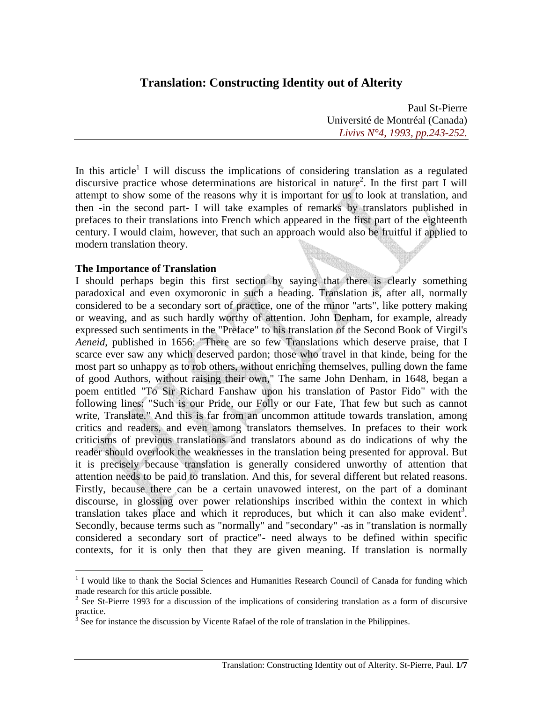# **Translation: Constructing Identity out of Alterity**

Paul St-Pierre Université de Montréal (Canada) *Livivs N°4, 1993, pp.243-252.*

In this article<sup>1</sup> I will discuss the implications of considering translation as a regulated discursive practice whose determinations are historical in nature<sup>2</sup>. In the first part I will attempt to show some of the reasons why it is important for us to look at translation, and then -in the second part- I will take examples of remarks by translators published in prefaces to their translations into French which appeared in the first part of the eighteenth century. I would claim, however, that such an approach would also be fruitful if applied to modern translation theory.

#### **The Importance of Translation**

<u>.</u>

I should perhaps begin this first section by saying that there is clearly something paradoxical and even oxymoronic in such a heading. Translation is, after all, normally considered to be a secondary sort of practice, one of the minor "arts", like pottery making or weaving, and as such hardly worthy of attention. John Denham, for example, already expressed such sentiments in the "Preface" to his translation of the Second Book of Virgil's *Aeneid*, published in 1656: "There are so few Translations which deserve praise, that I scarce ever saw any which deserved pardon; those who travel in that kinde, being for the most part so unhappy as to rob others, without enriching themselves, pulling down the fame of good Authors, without raising their own," The same John Denham, in 1648, began a poem entitled "To Sir Richard Fanshaw upon his translation of Pastor Fido" with the following lines: "Such is our Pride, our Folly or our Fate, That few but such as cannot write, Translate." And this is far from an uncommon attitude towards translation, among critics and readers, and even among translators themselves. In prefaces to their work criticisms of previous translations and translators abound as do indications of why the reader should overlook the weaknesses in the translation being presented for approval. But it is precisely because translation is generally considered unworthy of attention that attention needs to be paid to translation. And this, for several different but related reasons. Firstly, because there can be a certain unavowed interest, on the part of a dominant discourse, in glossing over power relationships inscribed within the context in which translation takes place and which it reproduces, but which it can also make evident<sup>3</sup>. Secondly, because terms such as "normally" and "secondary" -as in "translation is normally considered a secondary sort of practice"- need always to be defined within specific contexts, for it is only then that they are given meaning. If translation is normally

<sup>&</sup>lt;sup>1</sup> I would like to thank the Social Sciences and Humanities Research Council of Canada for funding which made research for this article possible.

 $2^2$  See St-Pierre 1993 for a discussion of the implications of considering translation as a form of discursive practice.

<sup>&</sup>lt;sup>3</sup> See for instance the discussion by Vicente Rafael of the role of translation in the Philippines.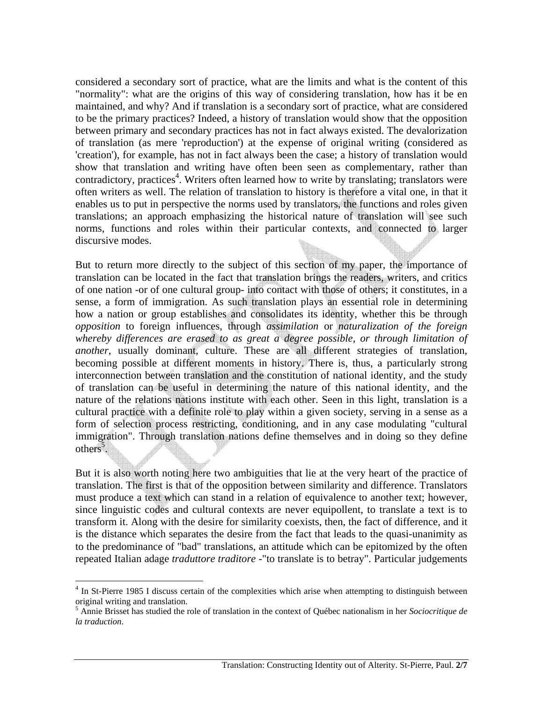considered a secondary sort of practice, what are the limits and what is the content of this "normality": what are the origins of this way of considering translation, how has it be en maintained, and why? And if translation is a secondary sort of practice, what are considered to be the primary practices? Indeed, a history of translation would show that the opposition between primary and secondary practices has not in fact always existed. The devalorization of translation (as mere 'reproduction') at the expense of original writing (considered as 'creation'), for example, has not in fact always been the case; a history of translation would show that translation and writing have often been seen as complementary, rather than contradictory, practices<sup>4</sup>. Writers often learned how to write by translating; translators were often writers as well. The relation of translation to history is therefore a vital one, in that it enables us to put in perspective the norms used by translators, the functions and roles given translations; an approach emphasizing the historical nature of translation will see such norms, functions and roles within their particular contexts, and connected to larger discursive modes.

But to return more directly to the subject of this section of my paper, the importance of translation can be located in the fact that translation brings the readers, writers, and critics of one nation -or of one cultural group- into contact with those of others; it constitutes, in a sense, a form of immigration. As such translation plays an essential role in determining how a nation or group establishes and consolidates its identity, whether this be through *opposition* to foreign influences, through *assimilation* or *naturalization of the foreign whereby differences are erased to as great a degree possible, or through limitation of another*, usually dominant, culture. These are all different strategies of translation, becoming possible at different moments in history. There is, thus, a particularly strong interconnection between translation and the constitution of national identity, and the study of translation can be useful in determining the nature of this national identity, and the nature of the relations nations institute with each other. Seen in this light, translation is a cultural practice with a definite role to play within a given society, serving in a sense as a form of selection process restricting, conditioning, and in any case modulating "cultural immigration". Through translation nations define themselves and in doing so they define others<sup>5</sup>.

But it is also worth noting here two ambiguities that lie at the very heart of the practice of translation. The first is that of the opposition between similarity and difference. Translators must produce a text which can stand in a relation of equivalence to another text; however, since linguistic codes and cultural contexts are never equipollent, to translate a text is to transform it. Along with the desire for similarity coexists, then, the fact of difference, and it is the distance which separates the desire from the fact that leads to the quasi-unanimity as to the predominance of "bad" translations, an attitude which can be epitomized by the often repeated Italian adage *traduttore traditore* -"to translate is to betray". Particular judgements

<sup>&</sup>lt;sup>4</sup> In St-Pierre 1985 I discuss certain of the complexities which arise when attempting to distinguish between original writing and translation.

<sup>5</sup> Annie Brisset has studied the role of translation in the context of Québec nationalism in her *Sociocritique de la traduction*.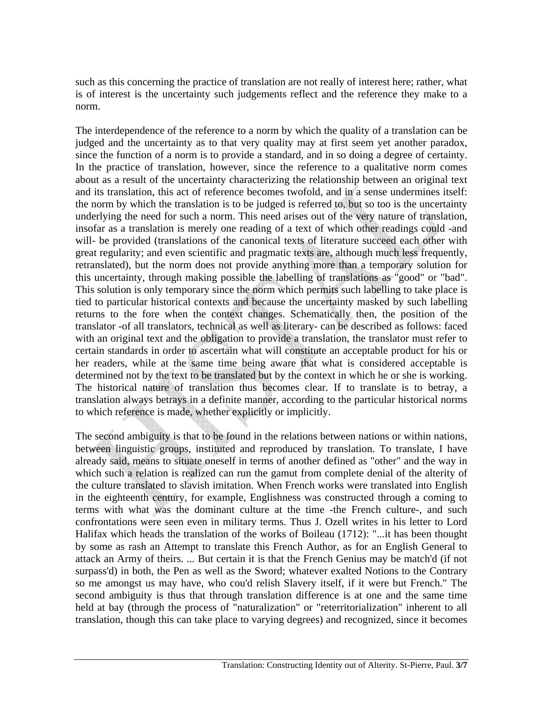such as this concerning the practice of translation are not really of interest here; rather, what is of interest is the uncertainty such judgements reflect and the reference they make to a norm.

The interdependence of the reference to a norm by which the quality of a translation can be judged and the uncertainty as to that very quality may at first seem yet another paradox, since the function of a norm is to provide a standard, and in so doing a degree of certainty. In the practice of translation, however, since the reference to a qualitative norm comes about as a result of the uncertainty characterizing the relationship between an original text and its translation, this act of reference becomes twofold, and in a sense undermines itself: the norm by which the translation is to be judged is referred to, but so too is the uncertainty underlying the need for such a norm. This need arises out of the very nature of translation, insofar as a translation is merely one reading of a text of which other readings could -and will- be provided (translations of the canonical texts of literature succeed each other with great regularity; and even scientific and pragmatic texts are, although much less frequently, retranslated), but the norm does not provide anything more than a temporary solution for this uncertainty, through making possible the labelling of translations as "good" or "bad". This solution is only temporary since the norm which permits such labelling to take place is tied to particular historical contexts and because the uncertainty masked by such labelling returns to the fore when the context changes. Schematically then, the position of the translator -of all translators, technical as well as literary- can be described as follows: faced with an original text and the obligation to provide a translation, the translator must refer to certain standards in order to ascertain what will constitute an acceptable product for his or her readers, while at the same time being aware that what is considered acceptable is determined not by the text to be translated but by the context in which he or she is working. The historical nature of translation thus becomes clear. If to translate is to betray, a translation always betrays in a definite manner, according to the particular historical norms to which reference is made, whether explicitly or implicitly.

The second ambiguity is that to be found in the relations between nations or within nations, between linguistic groups, instituted and reproduced by translation. To translate, I have already said, means to situate oneself in terms of another defined as "other" and the way in which such a relation is realized can run the gamut from complete denial of the alterity of the culture translated to slavish imitation. When French works were translated into English in the eighteenth century, for example, Englishness was constructed through a coming to terms with what was the dominant culture at the time -the French culture-, and such confrontations were seen even in military terms. Thus J. Ozell writes in his letter to Lord Halifax which heads the translation of the works of Boileau (1712): "...it has been thought by some as rash an Attempt to translate this French Author, as for an English General to attack an Army of theirs. ... But certain it is that the French Genius may be match'd (if not surpass'd) in both, the Pen as well as the Sword; whatever exalted Notions to the Contrary so me amongst us may have, who cou'd relish Slavery itself, if it were but French." The second ambiguity is thus that through translation difference is at one and the same time held at bay (through the process of "naturalization" or "reterritorialization" inherent to all translation, though this can take place to varying degrees) and recognized, since it becomes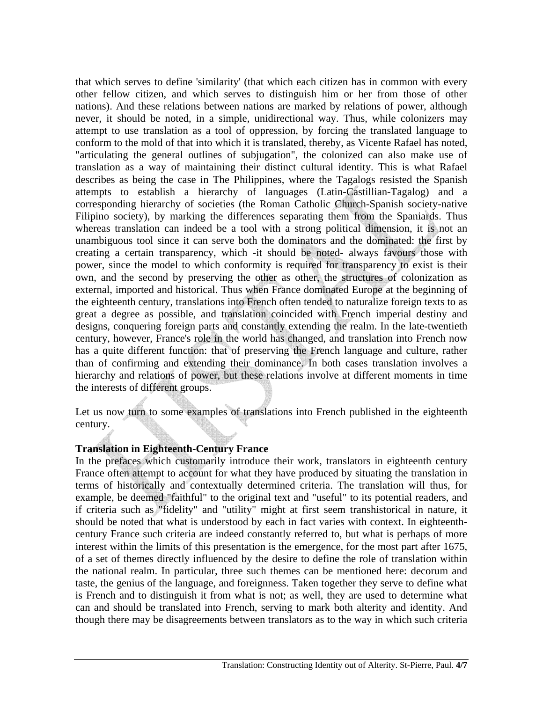that which serves to define 'similarity' (that which each citizen has in common with every other fellow citizen, and which serves to distinguish him or her from those of other nations). And these relations between nations are marked by relations of power, although never, it should be noted, in a simple, unidirectional way. Thus, while colonizers may attempt to use translation as a tool of oppression, by forcing the translated language to conform to the mold of that into which it is translated, thereby, as Vicente Rafael has noted, "articulating the general outlines of subjugation", the colonized can also make use of translation as a way of maintaining their distinct cultural identity. This is what Rafael describes as being the case in The Philippines, where the Tagalogs resisted the Spanish attempts to establish a hierarchy of languages (Latin-Castillian-Tagalog) and a corresponding hierarchy of societies (the Roman Catholic Church-Spanish society-native Filipino society), by marking the differences separating them from the Spaniards. Thus whereas translation can indeed be a tool with a strong political dimension, it is not an unambiguous tool since it can serve both the dominators and the dominated: the first by creating a certain transparency, which -it should be noted- always favours those with power, since the model to which conformity is required for transparency to exist is their own, and the second by preserving the other as other, the structures of colonization as external, imported and historical. Thus when France dominated Europe at the beginning of the eighteenth century, translations into French often tended to naturalize foreign texts to as great a degree as possible, and translation coincided with French imperial destiny and designs, conquering foreign parts and constantly extending the realm. In the late-twentieth century, however, France's role in the world has changed, and translation into French now has a quite different function: that of preserving the French language and culture, rather than of confirming and extending their dominance. In both cases translation involves a hierarchy and relations of power, but these relations involve at different moments in time the interests of different groups.

Let us now turn to some examples of translations into French published in the eighteenth century.

## **Translation in Eighteenth-Century France**

In the prefaces which customarily introduce their work, translators in eighteenth century France often attempt to account for what they have produced by situating the translation in terms of historically and contextually determined criteria. The translation will thus, for example, be deemed "faithful" to the original text and "useful" to its potential readers, and if criteria such as "fidelity" and "utility" might at first seem transhistorical in nature, it should be noted that what is understood by each in fact varies with context. In eighteenthcentury France such criteria are indeed constantly referred to, but what is perhaps of more interest within the limits of this presentation is the emergence, for the most part after 1675, of a set of themes directly influenced by the desire to define the role of translation within the national realm. In particular, three such themes can be mentioned here: decorum and taste, the genius of the language, and foreignness. Taken together they serve to define what is French and to distinguish it from what is not; as well, they are used to determine what can and should be translated into French, serving to mark both alterity and identity. And though there may be disagreements between translators as to the way in which such criteria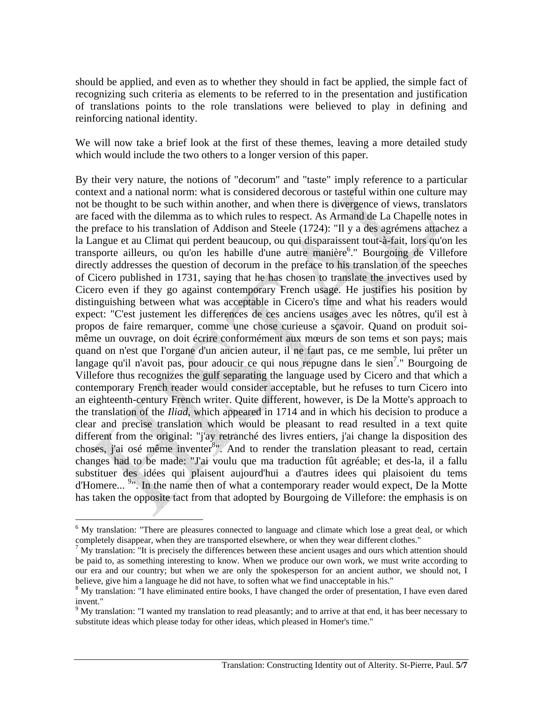should be applied, and even as to whether they should in fact be applied, the simple fact of recognizing such criteria as elements to be referred to in the presentation and justification of translations points to the role translations were believed to play in defining and reinforcing national identity.

We will now take a brief look at the first of these themes, leaving a more detailed study which would include the two others to a longer version of this paper.

By their very nature, the notions of "decorum" and "taste" imply reference to a particular context and a national norm: what is considered decorous or tasteful within one culture may not be thought to be such within another, and when there is divergence of views, translators are faced with the dilemma as to which rules to respect. As Armand de La Chapelle notes in the preface to his translation of Addison and Steele (1724): "Il y a des agrémens attachez a la Langue et au Climat qui perdent beaucoup, ou qui disparaissent tout-à-fait, lors qu'on les transporte ailleurs, ou qu'on les habille d'une autre manière<sup>6</sup>." Bourgoing de Villefore directly addresses the question of decorum in the preface to his translation of the speeches of Cicero published in 1731, saying that he has chosen to translate the invectives used by Cicero even if they go against contemporary French usage. He justifies his position by distinguishing between what was acceptable in Cicero's time and what his readers would expect: "C'est justement les differences de ces anciens usages avec les nôtres, qu'il est à propos de faire remarquer, comme une chose curieuse a sçavoir. Quand on produit soimême un ouvrage, on doit écrire conformément aux mœurs de son tems et son pays; mais quand on n'est que I'organe d'un ancien auteur, il ne faut pas, ce me semble, lui prêter un langage qu'il n'avoit pas, pour adoucir ce qui nous repugne dans le sien<sup>7</sup>." Bourgoing de Villefore thus recognizes the gulf separating the language used by Cicero and that which a contemporary French reader would consider acceptable, but he refuses to turn Cicero into an eighteenth-century French writer. Quite different, however, is De la Motte's approach to the translation of the *Iliad*, which appeared in 1714 and in which his decision to produce a clear and precise translation which would be pleasant to read resulted in a text quite different from the original: "j'ay retranché des livres entiers, j'ai change la disposition des choses, j'ai osé même inventer<sup>8</sup>". And to render the translation pleasant to read, certain changes had to be made: "J'ai voulu que ma traduction fût agréable; et des-la, il a fallu substituer des idées qui plaisent aujourd'hui a d'autres idees qui plaisoient du tems d'Homere... <sup>9</sup>". In the name then of what a contemporary reader would expect, De la Motte has taken the opposite tact from that adopted by Bourgoing de Villefore: the emphasis is on

<sup>&</sup>lt;sup>6</sup> My translation: "There are pleasures connected to language and climate which lose a great deal, or which completely disappear, when they are transported elsewhere, or when they wear different clothes."

 $<sup>7</sup>$  My translation: "It is precisely the differences between these ancient usages and ours which attention should</sup> be paid to, as something interesting to know. When we produce our own work, we must write according to our era and our country; but when we are only the spokesperson for an ancient author, we should not, I believe, give him a language he did not have, to soften what we find unacceptable in his."

<sup>&</sup>lt;sup>8</sup> My translation: "I have eliminated entire books, I have changed the order of presentation, I have even dared invent."

 $9$  My translation: "I wanted my translation to read pleasantly; and to arrive at that end, it has beer necessary to substitute ideas which please today for other ideas, which pleased in Homer's time."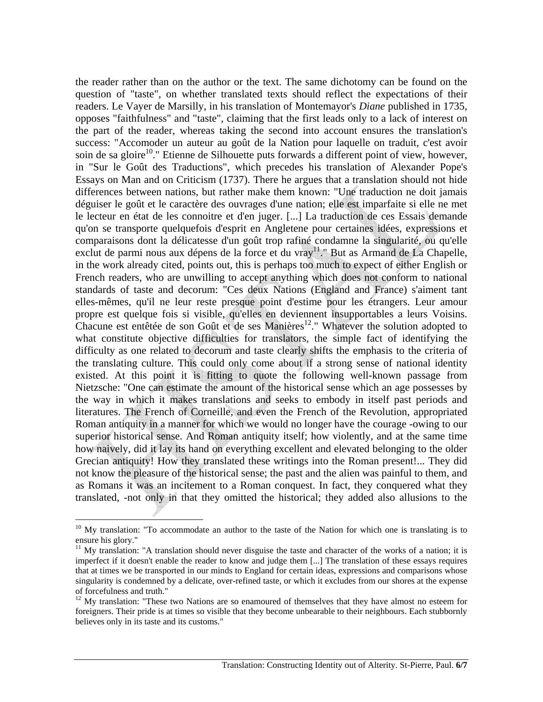the reader rather than on the author or the text. The same dichotomy can be found on the question of "taste", on whether translated texts should reflect the expectations of their readers. Le Vayer de Marsilly, in his translation of Montemayor's *Diane* published in 1735, opposes "faithfulness" and "taste", claiming that the first leads only to a lack of interest on the part of the reader, whereas taking the second into account ensures the translation's success: "Accomoder un auteur au goût de la Nation pour laquelle on traduit, c'est avoir soin de sa gloire<sup>10</sup>." Etienne de Silhouette puts forwards a different point of view, however, in "Sur le Goût des Traductions", which precedes his translation of Alexander Pope's Essays on Man and on Criticism (1737). There he argues that a translation should not hide differences between nations, but rather make them known: "Une traduction ne doit jamais déguiser le goût et le caractère des ouvrages d'une nation; elle est imparfaite si elle ne met le lecteur en état de les connoitre et d'en juger. [...] La traduction de ces Essais demande qu'on se transporte quelquefois d'esprit en Angletene pour certaines idées, expressions et comparaisons dont la délicatesse d'un goût trop rafiné condamne la singularité, ou qu'elle exclut de parmi nous aux dépens de la force et du vray<sup>11</sup>." But as Armand de La Chapelle, in the work already cited, points out, this is perhaps too much to expect of either English or French readers, who are unwilling to accept anything which does not conform to national standards of taste and decorum: "Ces deux Nations (England and France) s'aiment tant elles-mêmes, qu'il ne leur reste presque point d'estime pour les étrangers. Leur amour propre est quelque fois si visible, qu'elles en deviennent insupportables a leurs Voisins. Chacune est entêtée de son Goût et de ses Manières<sup>12</sup>." Whatever the solution adopted to what constitute objective difficulties for translators, the simple fact of identifying the difficulty as one related to decorum and taste clearly shifts the emphasis to the criteria of the translating culture. This could only come about if a strong sense of national identity existed. At this point it is fitting to quote the following well-known passage from Nietzsche: "One can estimate the amount of the historical sense which an age possesses by the way in which it makes translations and seeks to embody in itself past periods and literatures. The French of Corneille, and even the French of the Revolution, appropriated Roman antiquity in a manner for which we would no longer have the courage -owing to our superior historical sense. And Roman antiquity itself; how violently, and at the same time how naively, did it lay its hand on everything excellent and elevated belonging to the older Grecian antiquity! How they translated these writings into the Roman present!... They did not know the pleasure of the historical sense; the past and the alien was painful to them, and as Romans it was an incitement to a Roman conquest. In fact, they conquered what they translated, -not only in that they omitted the historical; they added also allusions to the

<sup>&</sup>lt;sup>10</sup> My translation: "To accommodate an author to the taste of the Nation for which one is translating is to ensure his glory."

 $11$  My translation: "A translation should never disguise the taste and character of the works of a nation; it is imperfect if it doesn't enable the reader to know and judge them [...] The translation of these essays requires that at times we be transported in our minds to England for certain ideas, expressions and comparisons whose singularity is condemned by a delicate, over-refined taste, or which it excludes from our shores at the expense of forcefulness and truth."

 $12$  My translation: "These two Nations are so enamoured of themselves that they have almost no esteem for foreigners. Their pride is at times so visible that they become unbearable to their neighbours. Each stubbornly believes only in its taste and its customs."